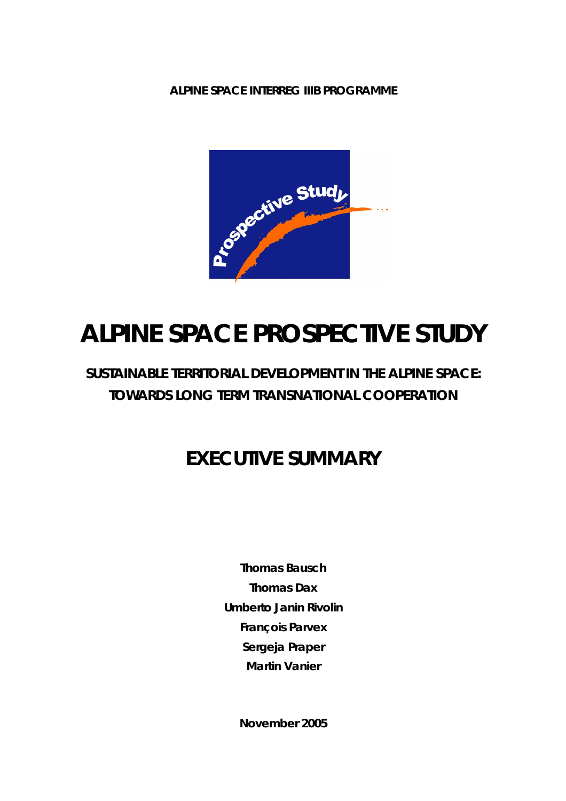**ALPINE SPACE INTERREG IIIB PROGRAMME** 



# **ALPINE SPACE PROSPECTIVE STUDY**

## **SUSTAINABLE TERRITORIAL DEVELOPMENT IN THE ALPINE SPACE: TOWARDS LONG TERM TRANSNATIONAL COOPERATION**

## **EXECUTIVE SUMMARY**

**Thomas Bausch Thomas Dax Umberto Janin Rivolin François Parvex Sergeja Praper Martin Vanier** 

**November 2005**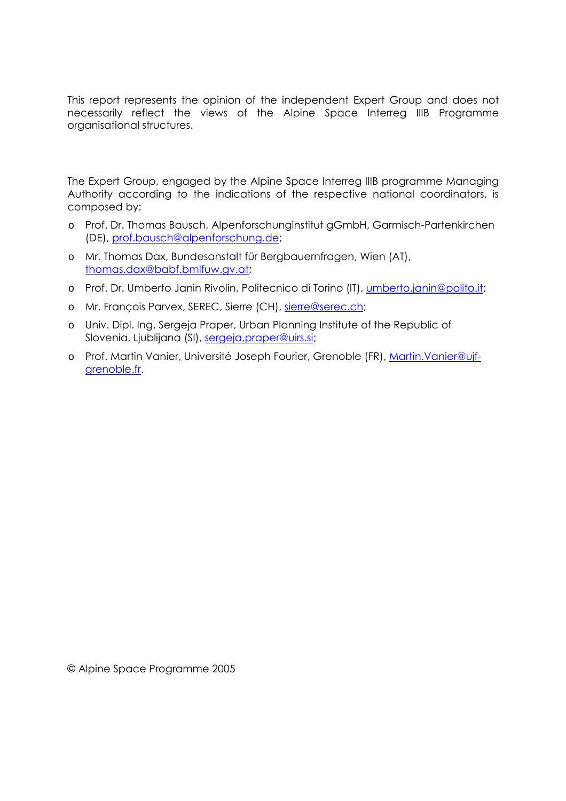This report represents the opinion of the independent Expert Group and does not necessarily reflect the views of the Alpine Space Interreg IIIB Programme organisational structures.

The Expert Group, engaged by the Alpine Space Interreg IIIB programme Managing Authority according to the indications of the respective national coordinators, is composed by:

- o Prof. Dr. Thomas Bausch, Alpenforschunginstitut gGmbH, Garmisch-Partenkirchen (DE), prof.bausch@alpenforschung.de;
- o Mr. Thomas Dax, Bundesanstalt für Bergbauernfragen, Wien (AT), thomas.dax@babf.bmlfuw.gv.at;
- o Prof. Dr. Umberto Janin Rivolin, Politecnico di Torino (IT), umberto.janin@polito.it;
- o Mr. François Parvex, SEREC, Sierre (CH), sierre@serec.ch;
- o Univ. Dipl. Ing. Sergeja Praper, Urban Planning Institute of the Republic of Slovenia, Ljublijana (SI), sergeja.praper@uirs.si;
- o Prof. Martin Vanier, Université Joseph Fourier, Grenoble (FR), Martin.Vanier@ujfgrenoble.fr.

© Alpine Space Programme 2005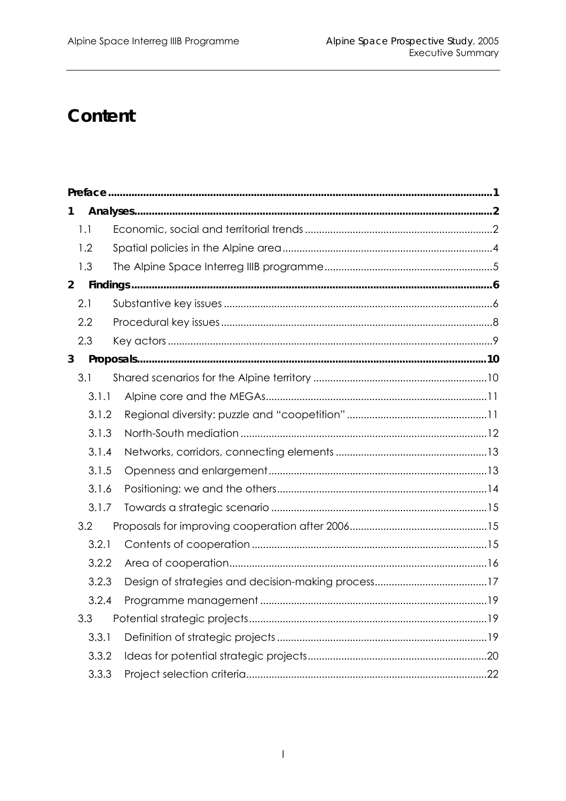## Content

| 1              |       |  |  |  |  |
|----------------|-------|--|--|--|--|
|                | 1.1   |  |  |  |  |
|                | 1.2   |  |  |  |  |
|                | 1.3   |  |  |  |  |
| $\overline{2}$ |       |  |  |  |  |
|                | 2.1   |  |  |  |  |
|                | 2.2   |  |  |  |  |
|                | 2.3   |  |  |  |  |
| 3              |       |  |  |  |  |
|                | 3.1   |  |  |  |  |
|                | 3.1.1 |  |  |  |  |
|                | 3.1.2 |  |  |  |  |
|                | 3.1.3 |  |  |  |  |
|                | 3.1.4 |  |  |  |  |
|                | 3.1.5 |  |  |  |  |
|                | 3.1.6 |  |  |  |  |
|                | 3.1.7 |  |  |  |  |
|                | 3.2   |  |  |  |  |
|                | 3.2.1 |  |  |  |  |
|                | 3.2.2 |  |  |  |  |
|                | 3.2.3 |  |  |  |  |
|                | 3.2.4 |  |  |  |  |
|                | 3.3   |  |  |  |  |
|                | 3.3.1 |  |  |  |  |
|                | 3.3.2 |  |  |  |  |
|                | 3.3.3 |  |  |  |  |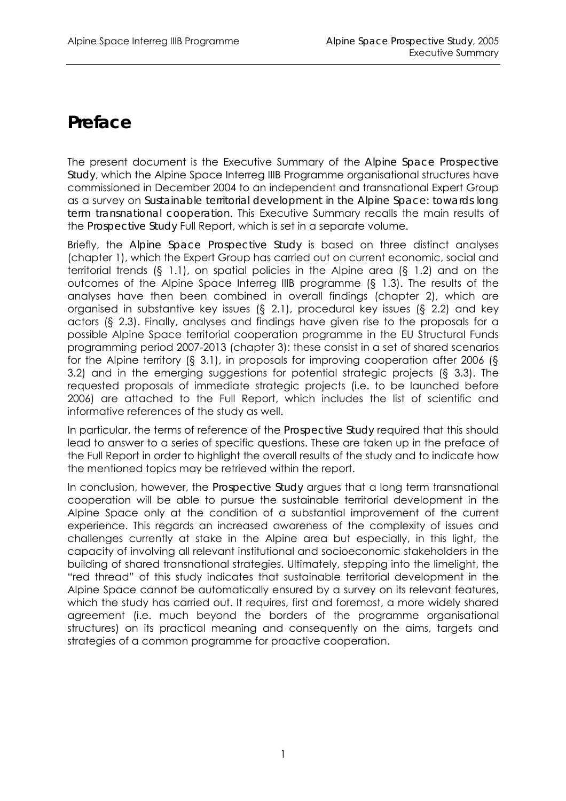## **Preface**

The present document is the Executive Summary of the *Alpine Space Prospective Study*, which the Alpine Space Interreg IIIB Programme organisational structures have commissioned in December 2004 to an independent and transnational Expert Group as a survey on *Sustainable territorial development in the Alpine Space: towards long term transnational cooperation*. This Executive Summary recalls the main results of the *Prospective Study* Full Report, which is set in a separate volume.

Briefly, the *Alpine Space Prospective Study* is based on three distinct analyses (chapter 1), which the Expert Group has carried out on current economic, social and territorial trends (§ 1.1), on spatial policies in the Alpine area (§ 1.2) and on the outcomes of the Alpine Space Interreg IIIB programme (§ 1.3). The results of the analyses have then been combined in overall findings (chapter 2), which are organised in substantive key issues (§ 2.1), procedural key issues (§ 2.2) and key actors (§ 2.3). Finally, analyses and findings have given rise to the proposals for a possible Alpine Space territorial cooperation programme in the EU Structural Funds programming period 2007-2013 (chapter 3): these consist in a set of shared scenarios for the Alpine territory (§ 3.1), in proposals for improving cooperation after 2006 (§ 3.2) and in the emerging suggestions for potential strategic projects (§ 3.3). The requested proposals of immediate strategic projects (i.e. to be launched before 2006) are attached to the Full Report, which includes the list of scientific and informative references of the study as well.

In particular, the terms of reference of the *Prospective Study* required that this should lead to answer to a series of specific questions. These are taken up in the preface of the Full Report in order to highlight the overall results of the study and to indicate how the mentioned topics may be retrieved within the report.

In conclusion, however, the *Prospective Study* argues that a long term transnational cooperation will be able to pursue the sustainable territorial development in the Alpine Space only at the condition of a substantial improvement of the current experience. This regards an increased awareness of the complexity of issues and challenges currently at stake in the Alpine area but especially, in this light, the capacity of involving all relevant institutional and socioeconomic stakeholders in the building of shared transnational strategies. Ultimately, stepping into the limelight, the "red thread" of this study indicates that sustainable territorial development in the Alpine Space cannot be automatically ensured by a survey on its relevant features, which the study has carried out. It requires, first and foremost, a more widely shared agreement (i.e. much beyond the borders of the programme organisational structures) on its practical meaning and consequently on the aims, targets and strategies of a common programme for proactive cooperation.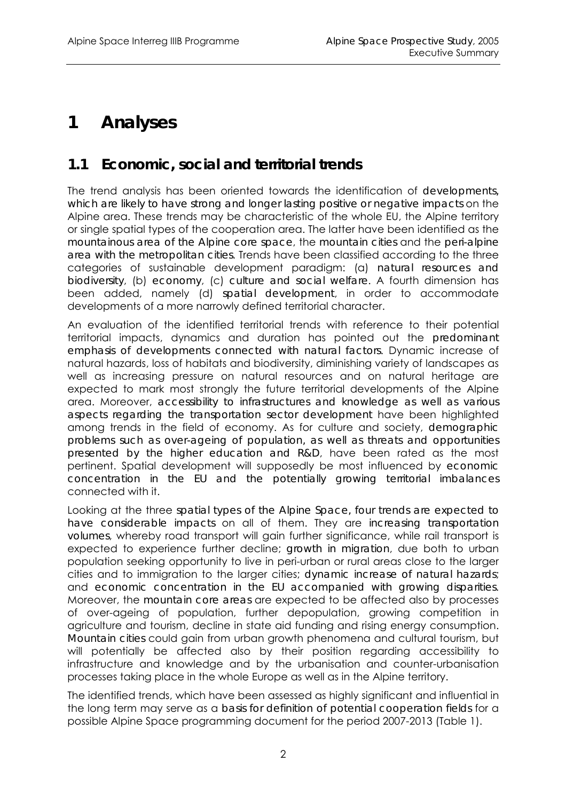## **1 Analyses**

### **1.1 Economic, social and territorial trends**

The trend analysis has been oriented towards the identification of *developments, which are likely to have strong and longer lasting positive or negative impacts* on the Alpine area. These trends may be characteristic of the whole EU, the Alpine territory or single spatial types of the cooperation area. The latter have been identified as the *mountainous area of the Alpine core space*, the *mountain cities* and the *peri-alpine area with the metropolitan cities*. Trends have been classified according to the three categories of sustainable development paradigm: (a) *natural resources and biodiversity*, (b) *economy*, (c) *culture and social welfare*. A fourth dimension has been added, namely (d) *spatial development*, in order to accommodate developments of a more narrowly defined territorial character.

An evaluation of the identified territorial trends with reference to their potential territorial impacts, dynamics and duration has pointed out the *predominant emphasis of developments connected with natural factors*. Dynamic increase of natural hazards, loss of habitats and biodiversity, diminishing variety of landscapes as well as increasing pressure on natural resources and on natural heritage are expected to mark most strongly the future territorial developments of the Alpine area. Moreover, *accessibility to infrastructures and knowledge as well as various aspects regarding the transportation sector development* have been highlighted among trends in the field of economy. As for culture and society, *demographic problems such as over-ageing of population, as well as threats and opportunities presented by the higher education and R&D*, have been rated as the most pertinent. Spatial development will supposedly be most influenced by *economic concentration in the EU and the potentially growing territorial imbalances*  connected with it.

Looking at the three *spatial types of the Alpine Space, four trends are expected to have considerable impacts* on all of them. They are *increasing transportation volumes*, whereby road transport will gain further significance, while rail transport is expected to experience further decline; *growth in migration*, due both to urban population seeking opportunity to live in peri-urban or rural areas close to the larger cities and to immigration to the larger cities; *dynamic increase of natural hazards*; and *economic concentration in the EU accompanied with growing disparities*. Moreover, the *mountain core areas* are expected to be affected also by processes of over-ageing of population, further depopulation, growing competition in agriculture and tourism, decline in state aid funding and rising energy consumption. *Mountain cities* could gain from urban growth phenomena and cultural tourism, but will potentially be affected also by their position regarding accessibility to infrastructure and knowledge and by the urbanisation and counter-urbanisation processes taking place in the whole Europe as well as in the Alpine territory.

The identified trends, which have been assessed as highly significant and influential in the long term may serve as a *basis for definition of potential cooperation fields* for a possible Alpine Space programming document for the period 2007-2013 (Table 1).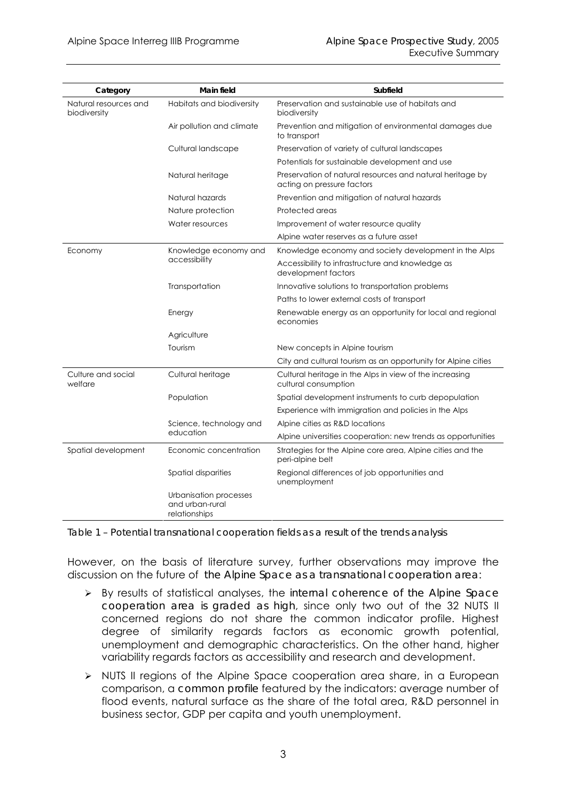| Category                              | <b>Main field</b>                                          | Subfield                                                                                |  |
|---------------------------------------|------------------------------------------------------------|-----------------------------------------------------------------------------------------|--|
| Natural resources and<br>biodiversity | Habitats and biodiversity                                  | Preservation and sustainable use of habitats and<br>biodiversity                        |  |
|                                       | Air pollution and climate                                  | Prevention and mitigation of environmental damages due<br>to transport                  |  |
|                                       | Cultural landscape                                         | Preservation of variety of cultural landscapes                                          |  |
|                                       |                                                            | Potentials for sustainable development and use                                          |  |
|                                       | Natural heritage                                           | Preservation of natural resources and natural heritage by<br>acting on pressure factors |  |
|                                       | Natural hazards                                            | Prevention and mitigation of natural hazards                                            |  |
|                                       | Nature protection                                          | Protected areas                                                                         |  |
|                                       | Water resources                                            | Improvement of water resource quality                                                   |  |
|                                       |                                                            | Alpine water reserves as a future asset                                                 |  |
| Economy                               | Knowledge economy and                                      | Knowledge economy and society development in the Alps                                   |  |
|                                       | accessibility                                              | Accessibility to infrastructure and knowledge as<br>development factors                 |  |
|                                       | Transportation                                             | Innovative solutions to transportation problems                                         |  |
|                                       |                                                            | Paths to lower external costs of transport                                              |  |
|                                       | Energy                                                     | Renewable energy as an opportunity for local and regional<br>economies                  |  |
|                                       | Agriculture                                                |                                                                                         |  |
|                                       | Tourism                                                    | New concepts in Alpine tourism                                                          |  |
|                                       |                                                            | City and cultural tourism as an opportunity for Alpine cities                           |  |
| Culture and social<br>welfare         | Cultural heritage                                          | Cultural heritage in the Alps in view of the increasing<br>cultural consumption         |  |
|                                       | Population                                                 | Spatial development instruments to curb depopulation                                    |  |
|                                       |                                                            | Experience with immigration and policies in the Alps                                    |  |
|                                       | Science, technology and                                    | Alpine cities as R&D locations                                                          |  |
|                                       | education                                                  | Alpine universities cooperation: new trends as opportunities                            |  |
| Spatial development                   | Economic concentration                                     | Strategies for the Alpine core area, Alpine cities and the<br>peri-alpine belt          |  |
|                                       | <b>Spatial disparities</b>                                 | Regional differences of job opportunities and<br>unemployment                           |  |
|                                       | Urbanisation processes<br>and urban-rural<br>relationships |                                                                                         |  |

*Table 1 – Potential transnational cooperation fields as a result of the trends analysis* 

However, on the basis of literature survey, further observations may improve the discussion on the future of *the Alpine Space as a transnational cooperation area*:

- ¾ By results of statistical analyses, the *internal coherence of the Alpine Space cooperation area is graded as high*, since only two out of the 32 NUTS II concerned regions do not share the common indicator profile. Highest degree of similarity regards factors as economic growth potential, unemployment and demographic characteristics. On the other hand, higher variability regards factors as accessibility and research and development.
- ¾ NUTS II regions of the Alpine Space cooperation area share, in a European comparison, a *common profile* featured by the indicators: average number of flood events, natural surface as the share of the total area, R&D personnel in business sector, GDP per capita and youth unemployment.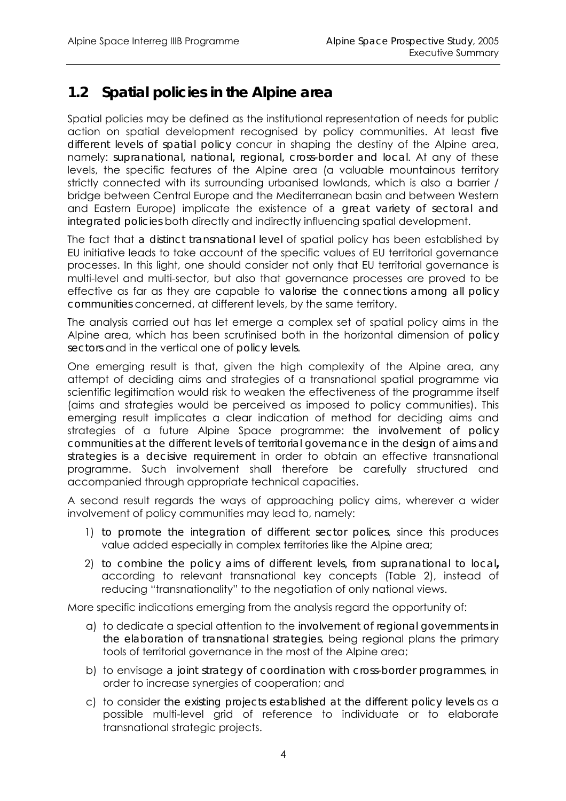### **1.2 Spatial policies in the Alpine area**

Spatial policies may be defined as the institutional representation of needs for public action on spatial development recognised by policy communities. At least *five different levels of spatial policy* concur in shaping the destiny of the Alpine area, namely: *supranational, national, regional, cross-border and local*. At any of these levels, the specific features of the Alpine area (a valuable mountainous territory strictly connected with its surrounding urbanised lowlands, which is also a barrier / bridge between Central Europe and the Mediterranean basin and between Western and Eastern Europe) implicate the existence of *a great variety of sectoral and integrated policies* both directly and indirectly influencing spatial development.

The fact that *a distinct transnational level* of spatial policy has been established by EU initiative leads to take account of the specific values of EU territorial governance processes. In this light, one should consider not only that EU territorial governance is multi-level and multi-sector, but also that governance processes are proved to be effective as far as they are capable to *valorise the connections among all policy communities* concerned, at different levels, by the same territory.

The analysis carried out has let emerge a complex set of spatial policy aims in the Alpine area, which has been scrutinised both in the horizontal dimension of *policy sectors* and in the vertical one of *policy levels*.

One emerging result is that, given the high complexity of the Alpine area, any attempt of deciding aims and strategies of a transnational spatial programme via scientific legitimation would risk to weaken the effectiveness of the programme itself (aims and strategies would be perceived as imposed to policy communities). This emerging result implicates a clear indication of method for deciding aims and strategies of a future Alpine Space programme: *the involvement of policy communities at the different levels of territorial governance in the design of aims and strategies is a decisive requirement* in order to obtain an effective transnational programme. Such involvement shall therefore be carefully structured and accompanied through appropriate technical capacities.

A second result regards the ways of approaching policy aims, wherever a wider involvement of policy communities may lead to, namely:

- 1) *to promote the integration of different sector polices*, since this produces value added especially in complex territories like the Alpine area;
- 2) *to combine the policy aims of different levels, from supranational to local***,** according to relevant transnational key concepts (Table 2), instead of reducing "transnationality" to the negotiation of only national views.

More specific indications emerging from the analysis regard the opportunity of:

- a) to dedicate a special attention to the *involvement of regional governments in the elaboration of transnational strategies*, being regional plans the primary tools of territorial governance in the most of the Alpine area;
- b) to envisage *a joint strategy of coordination with cross-border programmes*, in order to increase synergies of cooperation; and
- c) to consider *the existing projects established at the different policy levels* as a possible multi-level grid of reference to individuate or to elaborate transnational strategic projects.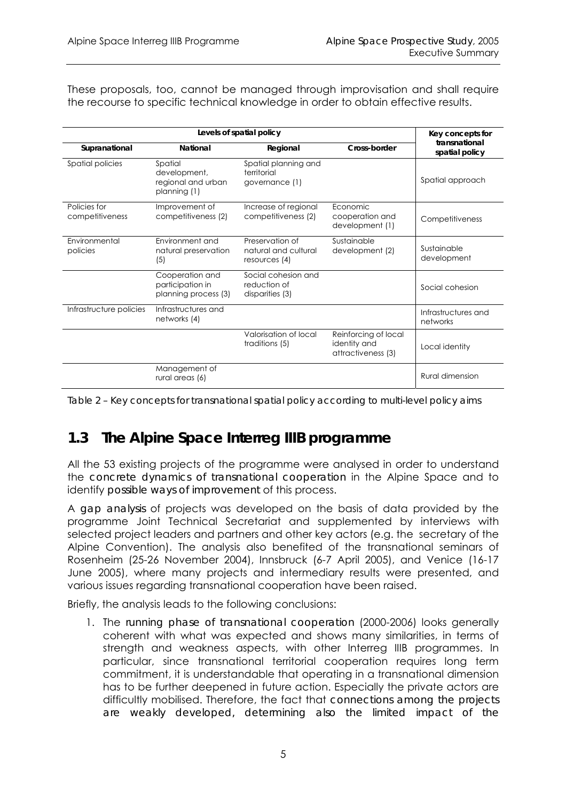These proposals, too, cannot be managed through improvisation and shall require the recourse to specific technical knowledge in order to obtain effective results.

|                                 | Key concepts for                                              |                                                          |                                                            |                                 |
|---------------------------------|---------------------------------------------------------------|----------------------------------------------------------|------------------------------------------------------------|---------------------------------|
| Supranational                   | National                                                      | Regional                                                 | Cross-border                                               | transnational<br>spatial policy |
| Spatial policies                | Spatial<br>development,<br>regional and urban<br>planning (1) | Spatial planning and<br>territorial<br>governance (1)    |                                                            | Spatial approach                |
| Policies for<br>competitiveness | Improvement of<br>competitiveness (2)                         | Increase of regional<br>competitiveness (2)              | Economic<br>cooperation and<br>development (1)             | Competitiveness                 |
| Environmental<br>policies       | Environment and<br>natural preservation<br>(5)                | Preservation of<br>natural and cultural<br>resources (4) | Sustainable<br>development (2)                             | Sustainable<br>development      |
|                                 | Cooperation and<br>participation in<br>planning process (3)   | Social cohesion and<br>reduction of<br>disparities (3)   |                                                            | Social cohesion                 |
| Infrastructure policies         | Infrastructures and<br>networks (4)                           |                                                          |                                                            | Infrastructures and<br>networks |
|                                 |                                                               | Valorisation of local<br>traditions (5)                  | Reinforcing of local<br>identity and<br>attractiveness (3) | Local identity                  |
|                                 | Management of<br>rural areas (6)                              |                                                          |                                                            | Rural dimension                 |

*Table 2 – Key concepts for transnational spatial policy according to multi-level policy aims* 

## **1.3 The Alpine Space Interreg IIIB programme**

All the 53 existing projects of the programme were analysed in order to understand the *concrete dynamics of transnational cooperation* in the Alpine Space and to identify *possible ways of improvement* of this process.

A *gap analysis* of projects was developed on the basis of data provided by the programme Joint Technical Secretariat and supplemented by interviews with selected project leaders and partners and other key actors (e.g. the secretary of the Alpine Convention). The analysis also benefited of the transnational seminars of Rosenheim (25-26 November 2004), Innsbruck (6-7 April 2005), and Venice (16-17 June 2005), where many projects and intermediary results were presented, and various issues regarding transnational cooperation have been raised.

Briefly, the analysis leads to the following conclusions:

1. The *running phase of transnational cooperation* (2000-2006) looks generally coherent with what was expected and shows many similarities, in terms of strength and weakness aspects, with other Interreg IIIB programmes. In particular, since transnational territorial cooperation requires long term commitment, it is understandable that operating in a transnational dimension has to be further deepened in future action. Especially the private actors are difficultly mobilised. Therefore, the fact that *connections among the projects are weakly developed, determining also the limited impact of the*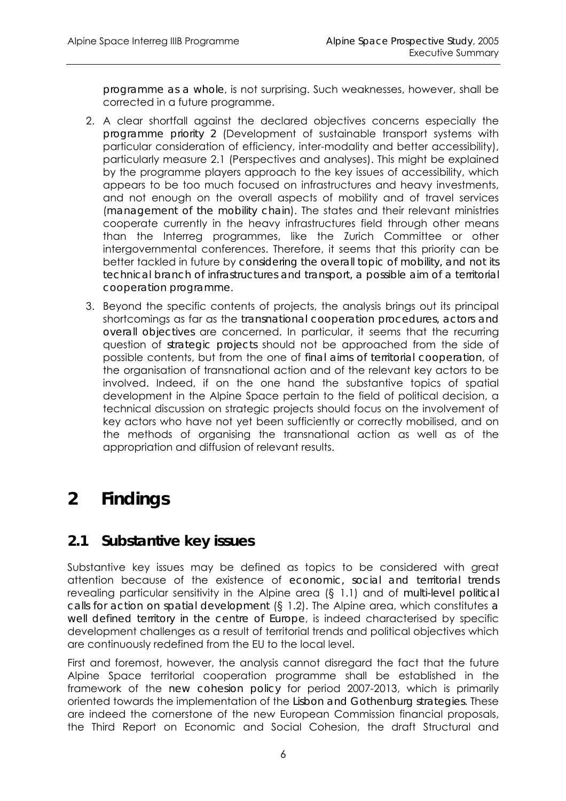*programme as a whole*, is not surprising. Such weaknesses, however, shall be corrected in a future programme.

- 2. A clear shortfall against the declared objectives concerns especially the *programme priority 2* (Development of sustainable transport systems with particular consideration of efficiency, inter-modality and better accessibility), particularly measure 2.1 (Perspectives and analyses). This might be explained by the programme players approach to the key issues of accessibility, which appears to be too much focused on infrastructures and heavy investments, and not enough on the overall aspects of mobility and of travel services (*management of the mobility chain*). The states and their relevant ministries cooperate currently in the heavy infrastructures field through other means than the Interreg programmes, like the Zurich Committee or other intergovernmental conferences. Therefore, it seems that this priority can be better tackled in future by *considering the overall topic of mobility, and not its technical branch of infrastructures and transport, a possible aim of a territorial cooperation programme*.
- 3. Beyond the specific contents of projects, the analysis brings out its principal shortcomings as far as the *transnational cooperation procedures, actors and overall objectives* are concerned. In particular, it seems that the recurring question of *strategic projects* should not be approached from the side of possible contents, but from the one of *final aims of territorial cooperation*, of the organisation of transnational action and of the relevant key actors to be involved. Indeed, if on the one hand the substantive topics of spatial development in the Alpine Space pertain to the field of political decision, a technical discussion on strategic projects should focus on the involvement of key actors who have not yet been sufficiently or correctly mobilised, and on the methods of organising the transnational action as well as of the appropriation and diffusion of relevant results.

## **2 Findings**

### **2.1 Substantive key issues**

Substantive key issues may be defined as topics to be considered with great attention because of the existence of *economic, social and territorial trends*  revealing particular sensitivity in the Alpine area (§ 1.1) and of *multi-level political calls for action on spatial development* (§ 1.2). The Alpine area, which constitutes *a well defined territory in the centre of Europe*, is indeed characterised by specific development challenges as a result of territorial trends and political objectives which are continuously redefined from the EU to the local level.

First and foremost, however, the analysis cannot disregard the fact that the future Alpine Space territorial cooperation programme shall be established in the framework of the *new cohesion policy* for period 2007-2013, which is primarily oriented towards the implementation of the *Lisbon and Gothenburg strategies*. These are indeed the cornerstone of the new European Commission financial proposals, the Third Report on Economic and Social Cohesion, the draft Structural and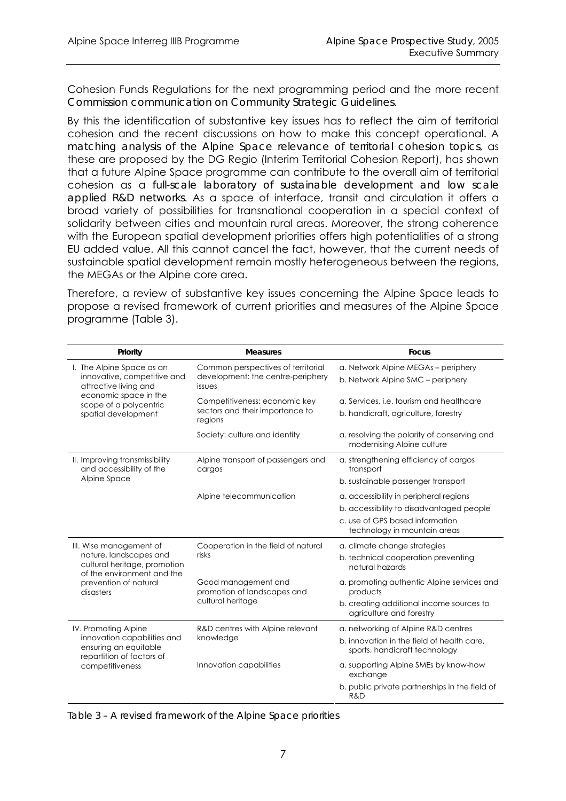Cohesion Funds Regulations for the next programming period and the more recent *Commission communication on Community Strategic Guidelines*.

By this the identification of substantive key issues has to reflect the aim of territorial cohesion and the recent discussions on how to make this concept operational. A *matching analysis of the Alpine Space relevance of territorial cohesion topics*, as these are proposed by the DG Regio (Interim Territorial Cohesion Report), has shown that a future Alpine Space programme can contribute to the overall aim of territorial cohesion as a *full-scale laboratory of sustainable development and low scale applied R&D networks*. As a space of interface, transit and circulation it offers a broad variety of possibilities for transnational cooperation in a special context of solidarity between cities and mountain rural areas. Moreover, the strong coherence with the European spatial development priorities offers high potentialities of a strong EU added value. All this cannot cancel the fact, however, that the current needs of sustainable spatial development remain mostly heterogeneous between the regions, the MEGAs or the Alpine core area.

Therefore, a review of substantive key issues concerning the Alpine Space leads to propose a revised framework of current priorities and measures of the Alpine Space programme (Table 3).

| Priority                                                                             | <b>Measures</b>                                                                   | <b>Focus</b>                                                                     |
|--------------------------------------------------------------------------------------|-----------------------------------------------------------------------------------|----------------------------------------------------------------------------------|
| I. The Alpine Space as an<br>innovative, competitive and<br>attractive living and    | Common perspectives of territorial<br>development: the centre-periphery<br>issues | a. Network Alpine MEGAs - periphery<br>b. Network Alpine SMC - periphery         |
| economic space in the<br>scope of a polycentric<br>spatial development               | Competitiveness: economic key<br>sectors and their importance to<br>regions       | a. Services, i.e. tourism and healthcare<br>b. handicraft, agriculture, forestry |
|                                                                                      | Society: culture and identity                                                     | a. resolving the polarity of conserving and<br>modernising Alpine culture        |
| II. Improving transmissibility<br>and accessibility of the                           | Alpine transport of passengers and<br>cargos                                      | a. strengthening efficiency of cargos<br>transport                               |
| Alpine Space                                                                         |                                                                                   | b. sustainable passenger transport                                               |
|                                                                                      | Alpine telecommunication                                                          | a. accessibility in peripheral regions                                           |
|                                                                                      |                                                                                   | b. accessibility to disadvantaged people                                         |
|                                                                                      |                                                                                   | c. use of GPS based information<br>technology in mountain areas                  |
| III. Wise management of                                                              | Cooperation in the field of natural                                               | a. climate change strategies                                                     |
| nature, landscapes and<br>cultural heritage, promotion<br>of the environment and the | risks                                                                             | b. technical cooperation preventing<br>natural hazards                           |
| prevention of natural<br>disasters                                                   | Good management and<br>promotion of landscapes and<br>cultural heritage           | a. promoting authentic Alpine services and<br>products                           |
|                                                                                      |                                                                                   | b. creating additional income sources to<br>agriculture and forestry             |
| IV. Promoting Alpine                                                                 | R&D centres with Alpine relevant                                                  | a. networking of Alpine R&D centres                                              |
| innovation capabilities and<br>ensuring an equitable<br>repartition of factors of    | knowledge                                                                         | b, innovation in the field of health care.<br>sports, handicraft technology      |
| competitiveness                                                                      | Innovation capabilities                                                           | a. supporting Alpine SMEs by know-how<br>exchange                                |
|                                                                                      |                                                                                   | b. public private partnerships in the field of<br>R&D                            |

*Table 3 – A revised framework of the Alpine Space priorities*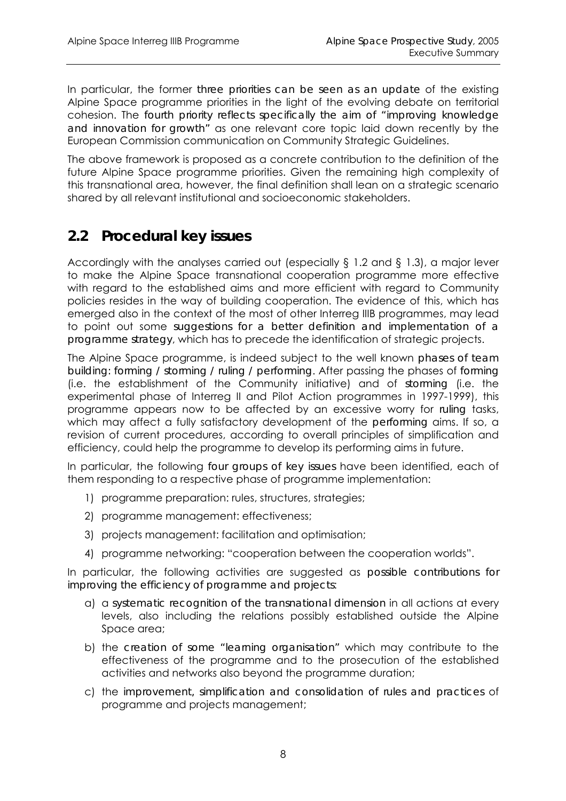In particular, the former *three priorities can be seen as an update* of the existing Alpine Space programme priorities in the light of the evolving debate on territorial cohesion. The *fourth priority reflects specifically the aim of "improving knowledge and innovation for growth"* as one relevant core topic laid down recently by the European Commission communication on Community Strategic Guidelines.

The above framework is proposed as a concrete contribution to the definition of the future Alpine Space programme priorities. Given the remaining high complexity of this transnational area, however, the final definition shall lean on a strategic scenario shared by all relevant institutional and socioeconomic stakeholders.

### **2.2 Procedural key issues**

Accordingly with the analyses carried out (especially § 1.2 and § 1.3), a major lever to make the Alpine Space transnational cooperation programme more effective with regard to the established aims and more efficient with regard to Community policies resides in the way of building cooperation. The evidence of this, which has emerged also in the context of the most of other Interreg IIIB programmes, may lead to point out some *suggestions for a better definition and implementation of a programme strategy*, which has to precede the identification of strategic projects.

The Alpine Space programme, is indeed subject to the well known *phases of team building: forming / storming / ruling / performing*. After passing the phases of *forming*  (i.e. the establishment of the Community initiative) and of *storming* (i.e. the experimental phase of Interreg II and Pilot Action programmes in 1997-1999), this programme appears now to be affected by an excessive worry for *ruling* tasks, which may affect a fully satisfactory development of the *performing* aims. If so, a revision of current procedures, according to overall principles of simplification and efficiency, could help the programme to develop its performing aims in future.

In particular, the following *four groups of key issues* have been identified, each of them responding to a respective phase of programme implementation:

- 1) programme preparation: rules, structures, strategies;
- 2) programme management: effectiveness;
- 3) projects management: facilitation and optimisation;
- 4) programme networking: "cooperation between the cooperation worlds".

In particular, the following activities are suggested as *possible contributions for improving the efficiency of programme and projects*:

- a) a *systematic recognition of the transnational dimension* in all actions at every levels, also including the relations possibly established outside the Alpine Space area;
- b) the *creation of some "learning organisation"* which may contribute to the effectiveness of the programme and to the prosecution of the established activities and networks also beyond the programme duration;
- c) the *improvement, simplification and consolidation of rules and practices* of programme and projects management;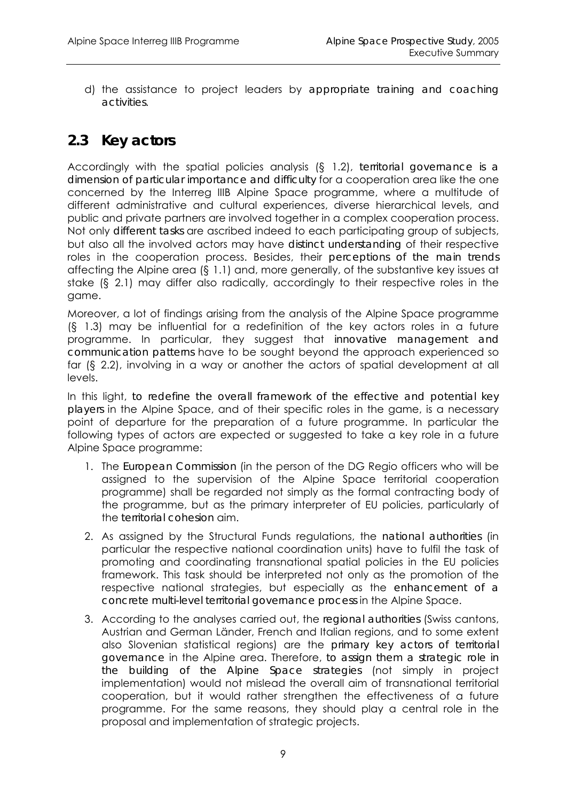d) the assistance to project leaders by *appropriate training and coaching activities*.

### **2.3 Key actors**

Accordingly with the spatial policies analysis (§ 1.2), *territorial governance is a dimension of particular importance and difficulty* for a cooperation area like the one concerned by the Interreg IIIB Alpine Space programme, where a multitude of different administrative and cultural experiences, diverse hierarchical levels, and public and private partners are involved together in a complex cooperation process. Not only *different tasks* are ascribed indeed to each participating group of subjects, but also all the involved actors may have *distinct understanding* of their respective roles in the cooperation process. Besides, their *perceptions of the main trends*  affecting the Alpine area (§ 1.1) and, more generally, of the substantive key issues at stake (§ 2.1) may differ also radically, accordingly to their respective roles in the game.

Moreover, a lot of findings arising from the analysis of the Alpine Space programme (§ 1.3) may be influential for a redefinition of the key actors roles in a future programme. In particular, they suggest that *innovative management and communication patterns* have to be sought beyond the approach experienced so far (§ 2.2), involving in a way or another the actors of spatial development at all levels.

In this light, *to redefine the overall framework of the effective and potential key players* in the Alpine Space, and of their specific roles in the game, is a necessary point of departure for the preparation of a future programme. In particular the following types of actors are expected or suggested to take a key role in a future Alpine Space programme:

- 1. The *European Commission* (in the person of the DG Regio officers who will be assigned to the supervision of the Alpine Space territorial cooperation programme) shall be regarded not simply as the formal contracting body of the programme, but as the primary interpreter of EU policies, particularly of the *territorial cohesion* aim.
- 2. As assigned by the Structural Funds regulations, the *national authorities* (in particular the respective national coordination units) have to fulfil the task of promoting and coordinating transnational spatial policies in the EU policies framework. This task should be interpreted not only as the promotion of the respective national strategies, but especially as the *enhancement of a concrete multi-level territorial governance process* in the Alpine Space.
- 3. According to the analyses carried out, the *regional authorities* (Swiss cantons, Austrian and German Länder, French and Italian regions, and to some extent also Slovenian statistical regions) are the *primary key actors of territorial governance* in the Alpine area. Therefore, *to assign them a strategic role in the building of the Alpine Space strategies* (not simply in project implementation) would not mislead the overall aim of transnational territorial cooperation, but it would rather strengthen the effectiveness of a future programme. For the same reasons, they should play a central role in the proposal and implementation of strategic projects.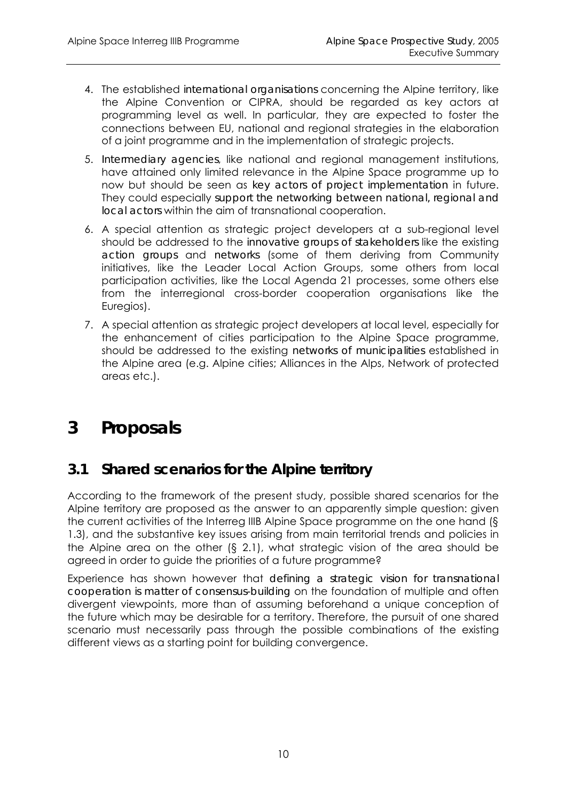- 4. The established *international organisations* concerning the Alpine territory, like the Alpine Convention or CIPRA, should be regarded as key actors at programming level as well. In particular, they are expected to foster the connections between EU, national and regional strategies in the elaboration of a joint programme and in the implementation of strategic projects.
- 5. *Intermediary agencies*, like national and regional management institutions, have attained only limited relevance in the Alpine Space programme up to now but should be seen as *key actors of project implementation* in future. They could especially *support the networking between national, regional and local actors* within the aim of transnational cooperation.
- 6. A special attention as strategic project developers at a sub-regional level should be addressed to the *innovative groups of stakeholders* like the existing *action groups* and *networks* (some of them deriving from Community initiatives, like the Leader Local Action Groups, some others from local participation activities, like the Local Agenda 21 processes, some others else from the interregional cross-border cooperation organisations like the Euregios).
- 7. A special attention as strategic project developers at local level, especially for the enhancement of cities participation to the Alpine Space programme, should be addressed to the existing *networks of municipalities* established in the Alpine area (e.g. Alpine cities; Alliances in the Alps, Network of protected areas etc.).

## **3 Proposals**

### **3.1 Shared scenarios for the Alpine territory**

According to the framework of the present study, possible shared scenarios for the Alpine territory are proposed as the answer to an apparently simple question: given the current activities of the Interreg IIIB Alpine Space programme on the one hand (§ 1.3), and the substantive key issues arising from main territorial trends and policies in the Alpine area on the other (§ 2.1), what strategic vision of the area should be agreed in order to guide the priorities of a future programme?

Experience has shown however that *defining a strategic vision for transnational cooperation is matter of consensus-building* on the foundation of multiple and often divergent viewpoints, more than of assuming beforehand a unique conception of the future which may be desirable for a territory. Therefore, the pursuit of one shared scenario must necessarily pass through the possible combinations of the existing different views as a starting point for building convergence.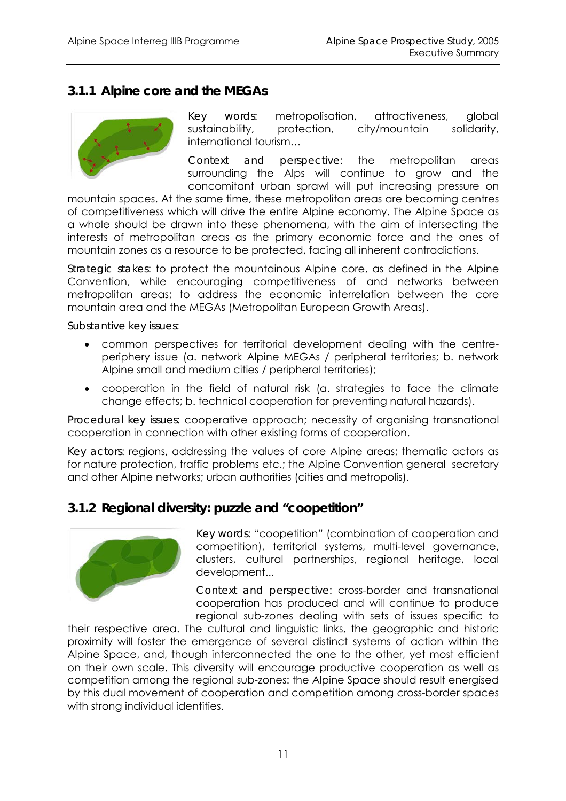#### *3.1.1 Alpine core and the MEGAs*



*Key words*: metropolisation, attractiveness, global sustainability, protection, city/mountain solidarity, international tourism…

*Context and perspective*: the metropolitan areas surrounding the Alps will continue to grow and the concomitant urban sprawl will put increasing pressure on

mountain spaces. At the same time, these metropolitan areas are becoming centres of competitiveness which will drive the entire Alpine economy. The Alpine Space as a whole should be drawn into these phenomena, with the aim of intersecting the interests of metropolitan areas as the primary economic force and the ones of mountain zones as a resource to be protected, facing all inherent contradictions.

*Strategic stakes*: to protect the mountainous Alpine core, as defined in the Alpine Convention, while encouraging competitiveness of and networks between metropolitan areas; to address the economic interrelation between the core mountain area and the MEGAs (Metropolitan European Growth Areas).

*Substantive key issues*:

- common perspectives for territorial development dealing with the centreperiphery issue (a. network Alpine MEGAs / peripheral territories; b. network Alpine small and medium cities / peripheral territories);
- cooperation in the field of natural risk (a. strategies to face the climate change effects; b. technical cooperation for preventing natural hazards).

*Procedural key issues*: cooperative approach; necessity of organising transnational cooperation in connection with other existing forms of cooperation.

*Key actors*: regions, addressing the values of core Alpine areas; thematic actors as for nature protection, traffic problems etc.; the Alpine Convention general secretary and other Alpine networks; urban authorities (cities and metropolis).

#### *3.1.2 Regional diversity: puzzle and "coopetition"*



*Key words*: "coopetition" (combination of cooperation and competition), territorial systems, multi-level governance, clusters, cultural partnerships, regional heritage, local development...

*Context and perspective*: cross-border and transnational cooperation has produced and will continue to produce regional sub-zones dealing with sets of issues specific to

their respective area. The cultural and linguistic links, the geographic and historic proximity will foster the emergence of several distinct systems of action within the Alpine Space, and, though interconnected the one to the other, yet most efficient on their own scale. This diversity will encourage productive cooperation as well as competition among the regional sub-zones: the Alpine Space should result energised by this dual movement of cooperation and competition among cross-border spaces with strong individual identities.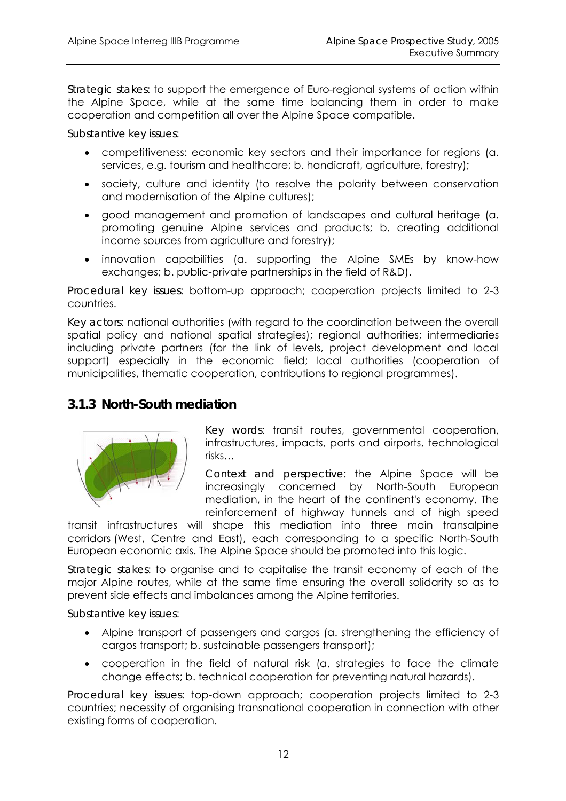*Strategic stakes*: to support the emergence of Euro-regional systems of action within the Alpine Space, while at the same time balancing them in order to make cooperation and competition all over the Alpine Space compatible.

*Substantive key issues*:

- competitiveness: economic key sectors and their importance for regions (a. services, e.g. tourism and healthcare; b. handicraft, agriculture, forestry);
- society, culture and identity (to resolve the polarity between conservation and modernisation of the Alpine cultures);
- good management and promotion of landscapes and cultural heritage (a. promoting genuine Alpine services and products; b. creating additional income sources from agriculture and forestry);
- innovation capabilities (a. supporting the Alpine SMEs by know-how exchanges; b. public-private partnerships in the field of R&D).

*Procedural key issues*: bottom-up approach; cooperation projects limited to 2-3 countries.

*Key actors*: national authorities (with regard to the coordination between the overall spatial policy and national spatial strategies); regional authorities; intermediaries including private partners (for the link of levels, project development and local support) especially in the economic field; local authorities (cooperation of municipalities, thematic cooperation, contributions to regional programmes).

#### *3.1.3 North-South mediation*



*Key words*: transit routes, governmental cooperation, infrastructures, impacts, ports and airports, technological risks…

*Context and perspective*: the Alpine Space will be increasingly concerned by North-South European mediation, in the heart of the continent's economy. The reinforcement of highway tunnels and of high speed

transit infrastructures will shape this mediation into three main transalpine corridors (West, Centre and East), each corresponding to a specific North-South European economic axis. The Alpine Space should be promoted into this logic.

*Strategic stakes*: to organise and to capitalise the transit economy of each of the major Alpine routes, while at the same time ensuring the overall solidarity so as to prevent side effects and imbalances among the Alpine territories.

#### *Substantive key issues*:

- Alpine transport of passengers and cargos (a. strengthening the efficiency of cargos transport; b. sustainable passengers transport);
- cooperation in the field of natural risk (a. strategies to face the climate change effects; b. technical cooperation for preventing natural hazards).

*Procedural key issues*: top-down approach; cooperation projects limited to 2-3 countries; necessity of organising transnational cooperation in connection with other existing forms of cooperation.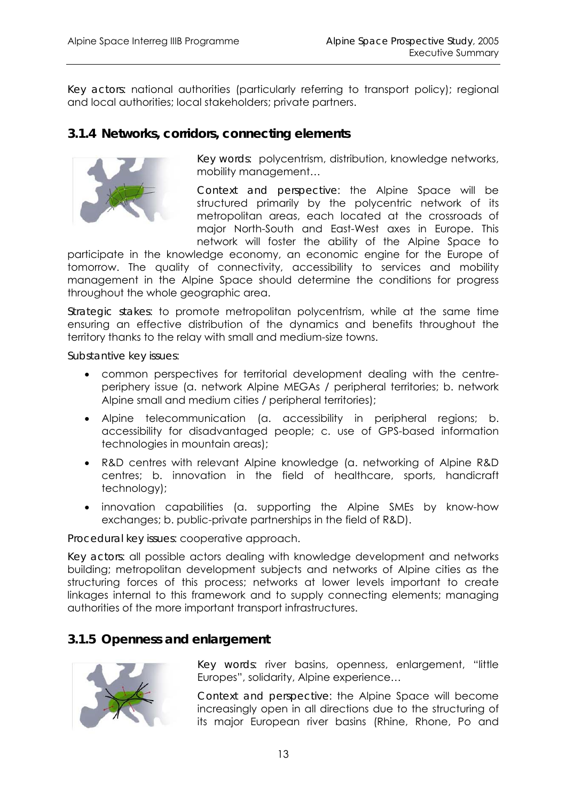*Key actors*: national authorities (particularly referring to transport policy); regional and local authorities; local stakeholders; private partners.

#### *3.1.4 Networks, corridors, connecting elements*



*Key words*: polycentrism, distribution, knowledge networks, mobility management…

*Context and perspective*: the Alpine Space will be structured primarily by the polycentric network of its metropolitan areas, each located at the crossroads of major North-South and East-West axes in Europe. This network will foster the ability of the Alpine Space to

participate in the knowledge economy, an economic engine for the Europe of tomorrow. The quality of connectivity, accessibility to services and mobility management in the Alpine Space should determine the conditions for progress throughout the whole geographic area.

*Strategic stakes*: to promote metropolitan polycentrism, while at the same time ensuring an effective distribution of the dynamics and benefits throughout the territory thanks to the relay with small and medium-size towns.

*Substantive key issues*:

- common perspectives for territorial development dealing with the centreperiphery issue (a. network Alpine MEGAs / peripheral territories; b. network Alpine small and medium cities / peripheral territories);
- Alpine telecommunication (a. accessibility in peripheral regions; b. accessibility for disadvantaged people; c. use of GPS-based information technologies in mountain areas);
- R&D centres with relevant Alpine knowledge (a. networking of Alpine R&D centres; b. innovation in the field of healthcare, sports, handicraft technology);
- innovation capabilities (a. supporting the Alpine SMEs by know-how exchanges; b. public-private partnerships in the field of R&D).

#### *Procedural key issues*: cooperative approach.

*Key actors*: all possible actors dealing with knowledge development and networks building; metropolitan development subjects and networks of Alpine cities as the structuring forces of this process; networks at lower levels important to create linkages internal to this framework and to supply connecting elements; managing authorities of the more important transport infrastructures.

#### *3.1.5 Openness and enlargement*



*Key words*: river basins, openness, enlargement, "little Europes", solidarity, Alpine experience…

*Context and perspective*: the Alpine Space will become increasingly open in all directions due to the structuring of its major European river basins (Rhine, Rhone, Po and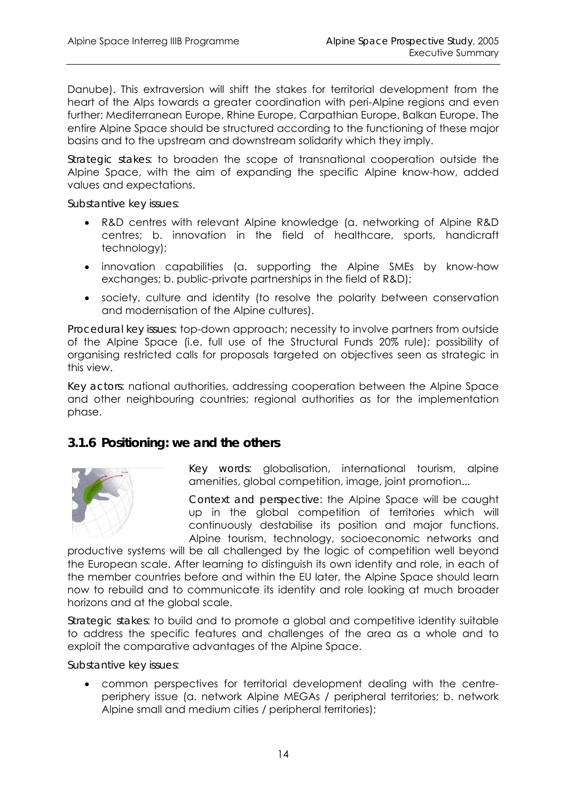Danube). This extraversion will shift the stakes for territorial development from the heart of the Alps towards a greater coordination with peri-Alpine regions and even further: Mediterranean Europe, Rhine Europe, Carpathian Europe, Balkan Europe. The entire Alpine Space should be structured according to the functioning of these major basins and to the upstream and downstream solidarity which they imply.

*Strategic stakes*: to broaden the scope of transnational cooperation outside the Alpine Space, with the aim of expanding the specific Alpine know-how, added values and expectations.

*Substantive key issues*:

- R&D centres with relevant Alpine knowledge (a. networking of Alpine R&D centres; b. innovation in the field of healthcare, sports, handicraft technology);
- innovation capabilities (a. supporting the Alpine SMEs by know-how exchanges; b. public-private partnerships in the field of R&D);
- society, culture and identity (to resolve the polarity between conservation and modernisation of the Alpine cultures).

*Procedural key issues*: top-down approach; necessity to involve partners from outside of the Alpine Space (i.e. full use of the Structural Funds 20% rule); possibility of organising restricted calls for proposals targeted on objectives seen as strategic in this view.

*Key actors*: national authorities, addressing cooperation between the Alpine Space and other neighbouring countries; regional authorities as for the implementation phase.

#### *3.1.6 Positioning: we and the others*



*Key words*: globalisation, international tourism, alpine amenities, global competition, image, joint promotion...

*Context and perspective*: the Alpine Space will be caught up in the global competition of territories which will continuously destabilise its position and major functions. Alpine tourism, technology, socioeconomic networks and

productive systems will be all challenged by the logic of competition well beyond the European scale. After learning to distinguish its own identity and role, in each of the member countries before and within the EU later, the Alpine Space should learn now to rebuild and to communicate its identity and role looking at much broader horizons and at the global scale.

*Strategic stakes*: to build and to promote a global and competitive identity suitable to address the specific features and challenges of the area as a whole and to exploit the comparative advantages of the Alpine Space.

*Substantive key issues*:

• common perspectives for territorial development dealing with the centreperiphery issue (a. network Alpine MEGAs / peripheral territories; b. network Alpine small and medium cities / peripheral territories);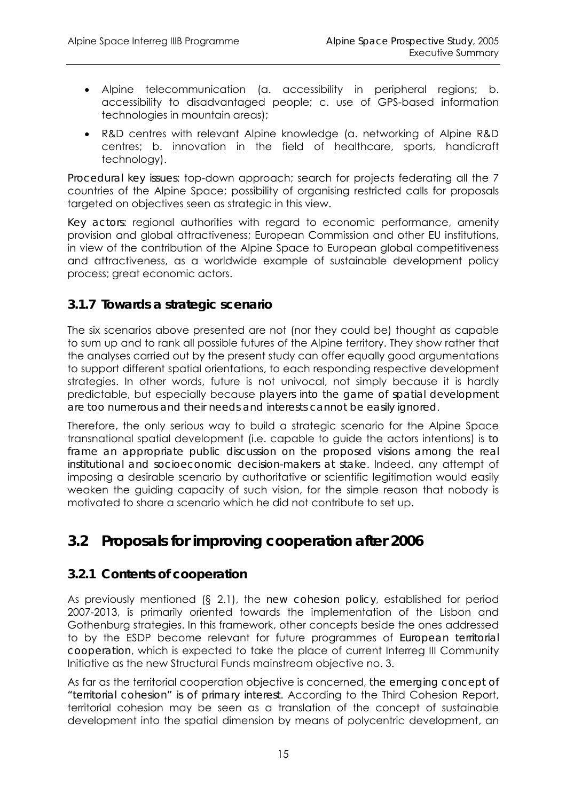- Alpine telecommunication (a. accessibility in peripheral regions; b. accessibility to disadvantaged people; c. use of GPS-based information technologies in mountain areas);
- R&D centres with relevant Alpine knowledge (a. networking of Alpine R&D centres; b. innovation in the field of healthcare, sports, handicraft technology).

*Procedural key issues*: top-down approach; search for projects federating all the 7 countries of the Alpine Space; possibility of organising restricted calls for proposals targeted on objectives seen as strategic in this view.

*Key actors*: regional authorities with regard to economic performance, amenity provision and global attractiveness; European Commission and other EU institutions, in view of the contribution of the Alpine Space to European global competitiveness and attractiveness, as a worldwide example of sustainable development policy process; great economic actors.

#### *3.1.7 Towards a strategic scenario*

The six scenarios above presented are not (nor they could be) thought as capable to sum up and to rank all possible futures of the Alpine territory. They show rather that the analyses carried out by the present study can offer equally good argumentations to support different spatial orientations, to each responding respective development strategies. In other words, future is not univocal, not simply because it is hardly predictable, but especially because *players into the game of spatial development are too numerous and their needs and interests cannot be easily ignored*.

Therefore, the only serious way to build a strategic scenario for the Alpine Space transnational spatial development (i.e. capable to guide the actors intentions) is *to*  frame an appropriate public discussion on the proposed visions among the real *institutional and socioeconomic decision-makers at stake*. Indeed, any attempt of imposing a desirable scenario by authoritative or scientific legitimation would easily weaken the guiding capacity of such vision, for the simple reason that nobody is motivated to share a scenario which he did not contribute to set up.

### **3.2 Proposals for improving cooperation after 2006**

#### *3.2.1 Contents of cooperation*

As previously mentioned (§ 2.1), the *new cohesion policy*, established for period 2007-2013, is primarily oriented towards the implementation of the Lisbon and Gothenburg strategies. In this framework, other concepts beside the ones addressed to by the ESDP become relevant for future programmes of *European territorial cooperation*, which is expected to take the place of current Interreg III Community Initiative as the new Structural Funds mainstream objective no. 3.

As far as the territorial cooperation objective is concerned, *the emerging concept of "territorial cohesion" is of primary interest*. According to the Third Cohesion Report, territorial cohesion may be seen as a translation of the concept of sustainable development into the spatial dimension by means of polycentric development, an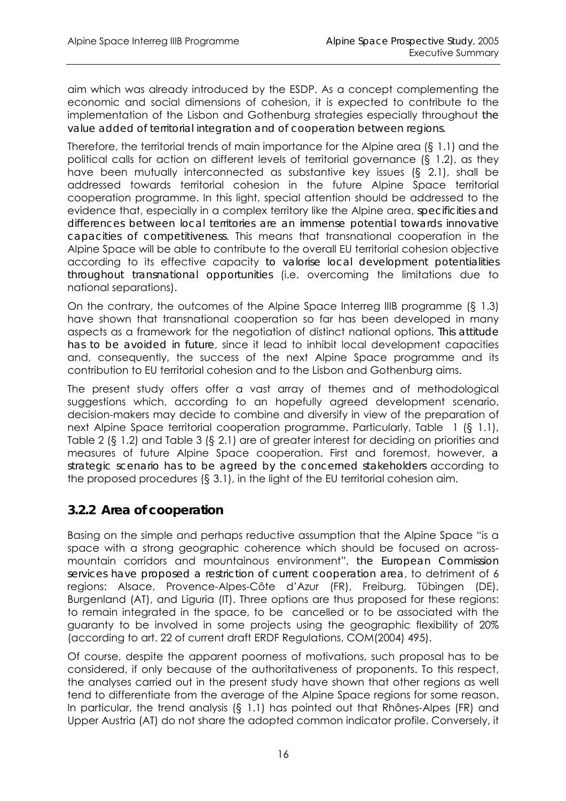aim which was already introduced by the ESDP. As a concept complementing the economic and social dimensions of cohesion, it is expected to contribute to the implementation of the Lisbon and Gothenburg strategies especially throughout *the value added of territorial integration and of cooperation between regions*.

Therefore, the territorial trends of main importance for the Alpine area (§ 1.1) and the political calls for action on different levels of territorial governance (§ 1.2), as they have been mutually interconnected as substantive key issues (§ 2.1), shall be addressed towards territorial cohesion in the future Alpine Space territorial cooperation programme. In this light, special attention should be addressed to the evidence that, especially in a complex territory like the Alpine area, *specificities and differences between local territories are an immense potential towards innovative capacities of competitiveness*. This means that transnational cooperation in the Alpine Space will be able to contribute to the overall EU territorial cohesion objective according to its effective capacity *to valorise local development potentialities throughout transnational opportunities* (i.e. overcoming the limitations due to national separations).

On the contrary, the outcomes of the Alpine Space Interreg IIIB programme (§ 1.3) have shown that transnational cooperation so far has been developed in many aspects as a framework for the negotiation of distinct national options. *This attitude has to be avoided in future*, since it lead to inhibit local development capacities and, consequently, the success of the next Alpine Space programme and its contribution to EU territorial cohesion and to the Lisbon and Gothenburg aims.

The present study offers offer a vast array of themes and of methodological suggestions which, according to an hopefully agreed development scenario, decision-makers may decide to combine and diversify in view of the preparation of next Alpine Space territorial cooperation programme. Particularly, Table 1 (§ 1.1), Table 2 (§ 1.2) and Table 3 (§ 2.1) are of greater interest for deciding on priorities and measures of future Alpine Space cooperation. First and foremost, however, *a strategic scenario has to be agreed by the concerned stakeholders* according to the proposed procedures (§ 3.1), in the light of the EU territorial cohesion aim.

#### *3.2.2 Area of cooperation*

Basing on the simple and perhaps reductive assumption that the Alpine Space "is a space with a strong geographic coherence which should be focused on acrossmountain corridors and mountainous environment", *the European Commission services have proposed a restriction of current cooperation area*, to detriment of 6 regions: Alsace, Provence-Alpes-Côte d'Azur (FR), Freiburg, Tübingen (DE), Burgenland (AT), and Liguria (IT). Three options are thus proposed for these regions: to remain integrated in the space, to be cancelled or to be associated with the guaranty to be involved in some projects using the geographic flexibility of 20% (according to art. 22 of current draft ERDF Regulations, COM(2004) 495).

Of course, despite the apparent poorness of motivations, such proposal has to be considered, if only because of the authoritativeness of proponents. To this respect, the analyses carried out in the present study have shown that other regions as well tend to differentiate from the average of the Alpine Space regions for some reason. In particular, the trend analysis (§ 1.1) has pointed out that Rhônes-Alpes (FR) and Upper Austria (AT) do not share the adopted common indicator profile. Conversely, it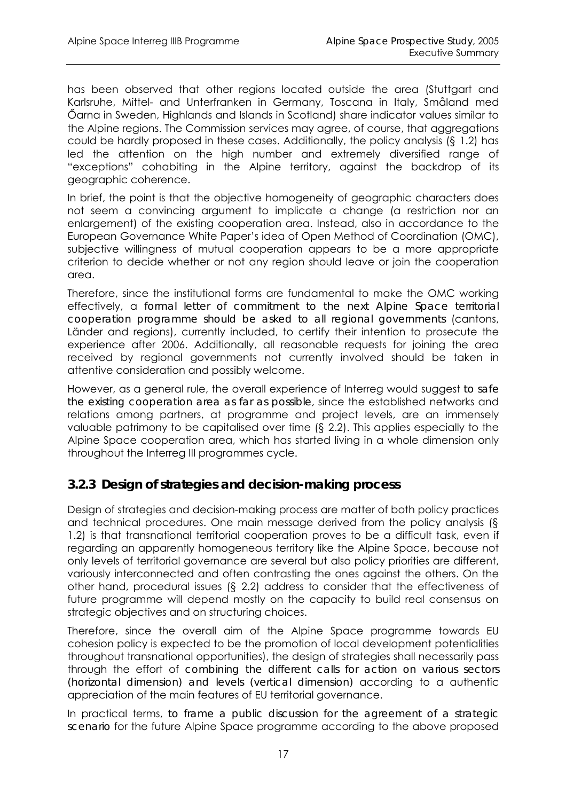has been observed that other regions located outside the area (Stuttgart and Karlsruhe, Mittel- and Unterfranken in Germany, Toscana in Italy, Småland med Őarna in Sweden, Highlands and Islands in Scotland) share indicator values similar to the Alpine regions. The Commission services may agree, of course, that aggregations could be hardly proposed in these cases. Additionally, the policy analysis (§ 1.2) has led the attention on the high number and extremely diversified range of "exceptions" cohabiting in the Alpine territory, against the backdrop of its geographic coherence.

In brief, the point is that the objective homogeneity of geographic characters does not seem a convincing argument to implicate a change (a restriction nor an enlargement) of the existing cooperation area. Instead, also in accordance to the European Governance White Paper's idea of Open Method of Coordination (OMC), subjective willingness of mutual cooperation appears to be a more appropriate criterion to decide whether or not any region should leave or join the cooperation area.

Therefore, since the institutional forms are fundamental to make the OMC working effectively, a *formal letter of commitment to the next Alpine Space territorial cooperation programme should be asked to all regional governments* (cantons, Länder and regions), currently included, to certify their intention to prosecute the experience after 2006. Additionally, all reasonable requests for joining the area received by regional governments not currently involved should be taken in attentive consideration and possibly welcome.

However, as a general rule, the overall experience of Interreg would suggest *to safe the existing cooperation area as far as possible*, since the established networks and relations among partners, at programme and project levels, are an immensely valuable patrimony to be capitalised over time (§ 2.2). This applies especially to the Alpine Space cooperation area, which has started living in a whole dimension only throughout the Interreg III programmes cycle.

#### *3.2.3 Design of strategies and decision-making process*

Design of strategies and decision-making process are matter of both policy practices and technical procedures. One main message derived from the policy analysis (§ 1.2) is that transnational territorial cooperation proves to be a difficult task, even if regarding an apparently homogeneous territory like the Alpine Space, because not only levels of territorial governance are several but also policy priorities are different, variously interconnected and often contrasting the ones against the others. On the other hand, procedural issues (§ 2.2) address to consider that the effectiveness of future programme will depend mostly on the capacity to build real consensus on strategic objectives and on structuring choices.

Therefore, since the overall aim of the Alpine Space programme towards EU cohesion policy is expected to be the promotion of local development potentialities throughout transnational opportunities), the design of strategies shall necessarily pass through the effort of *combining the different calls for action on various sectors (horizontal dimension) and levels (vertical dimension)* according to a authentic appreciation of the main features of EU territorial governance.

In practical terms, *to frame a public discussion for the agreement of a strategic scenario* for the future Alpine Space programme according to the above proposed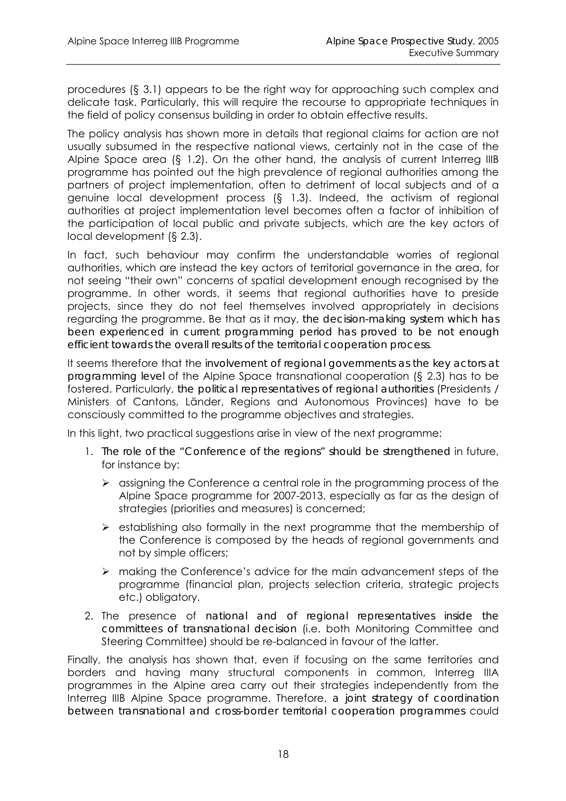procedures (§ 3.1) appears to be the right way for approaching such complex and delicate task. Particularly, this will require the recourse to appropriate techniques in the field of policy consensus building in order to obtain effective results.

The policy analysis has shown more in details that regional claims for action are not usually subsumed in the respective national views, certainly not in the case of the Alpine Space area (§ 1.2). On the other hand, the analysis of current Interreg IIIB programme has pointed out the high prevalence of regional authorities among the partners of project implementation, often to detriment of local subjects and of a genuine local development process (§ 1.3). Indeed, the activism of regional authorities at project implementation level becomes often a factor of inhibition of the participation of local public and private subjects, which are the key actors of local development (§ 2.3).

In fact, such behaviour may confirm the understandable worries of regional authorities, which are instead the key actors of territorial governance in the area, for not seeing "their own" concerns of spatial development enough recognised by the programme. In other words, it seems that regional authorities have to preside projects, since they do not feel themselves involved appropriately in decisions regarding the programme. Be that as it may, *the decision-making system which has been experienced in current programming period has proved to be not enough efficient towards the overall results of the territorial cooperation process*.

It seems therefore that the *involvement of regional governments as the key actors at programming level* of the Alpine Space transnational cooperation (§ 2.3) has to be fostered. Particularly, *the political representatives of regional authorities* (Presidents / Ministers of Cantons, Länder, Regions and Autonomous Provinces) have to be consciously committed to the programme objectives and strategies.

In this light, two practical suggestions arise in view of the next programme:

- 1. *The role of the "Conference of the regions" should be strengthened* in future, for instance by:
	- ¾ assigning the Conference a central role in the programming process of the Alpine Space programme for 2007-2013, especially as far as the design of strategies (priorities and measures) is concerned;
	- $\triangleright$  establishing also formally in the next programme that the membership of the Conference is composed by the heads of regional governments and not by simple officers;
	- ¾ making the Conference's advice for the main advancement steps of the programme (financial plan, projects selection criteria, strategic projects etc.) obligatory.
- 2. The presence of *national and of regional representatives inside the committees of transnational decision* (i.e. both Monitoring Committee and Steering Committee) should be re-balanced in favour of the latter.

Finally, the analysis has shown that, even if focusing on the same territories and borders and having many structural components in common, Interreg IIIA programmes in the Alpine area carry out their strategies independently from the Interreg IIIB Alpine Space programme. Therefore, *a joint strategy of coordination between transnational and cross-border territorial cooperation programmes* could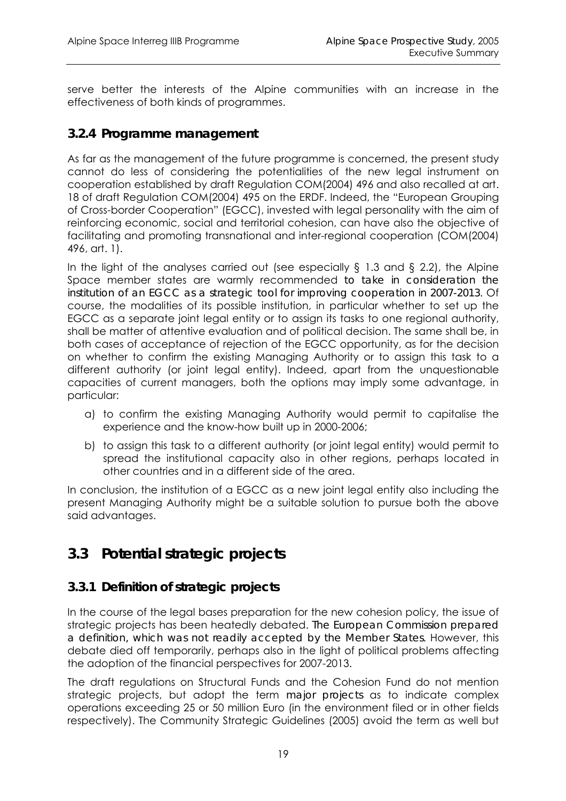serve better the interests of the Alpine communities with an increase in the effectiveness of both kinds of programmes.

#### *3.2.4 Programme management*

As far as the management of the future programme is concerned, the present study cannot do less of considering the potentialities of the new legal instrument on cooperation established by draft Regulation COM(2004) 496 and also recalled at art. 18 of draft Regulation COM(2004) 495 on the ERDF. Indeed, the "European Grouping of Cross-border Cooperation" (EGCC), invested with legal personality with the aim of reinforcing economic, social and territorial cohesion, can have also the objective of facilitating and promoting transnational and inter-regional cooperation (COM(2004) 496, art. 1).

In the light of the analyses carried out (see especially  $\S$  1.3 and  $\S$  2.2), the Alpine Space member states are warmly recommended *to take in consideration the institution of an EGCC as a strategic tool for improving cooperation in 2007-2013*. Of course, the modalities of its possible institution, in particular whether to set up the EGCC as a separate joint legal entity or to assign its tasks to one regional authority, shall be matter of attentive evaluation and of political decision. The same shall be, in both cases of acceptance of rejection of the EGCC opportunity, as for the decision on whether to confirm the existing Managing Authority or to assign this task to a different authority (or joint legal entity). Indeed, apart from the unquestionable capacities of current managers, both the options may imply some advantage, in particular:

- a) to confirm the existing Managing Authority would permit to capitalise the experience and the know-how built up in 2000-2006;
- b) to assign this task to a different authority (or joint legal entity) would permit to spread the institutional capacity also in other regions, perhaps located in other countries and in a different side of the area.

In conclusion, the institution of a EGCC as a new joint legal entity also including the present Managing Authority might be a suitable solution to pursue both the above said advantages.

## **3.3 Potential strategic projects**

#### *3.3.1 Definition of strategic projects*

In the course of the legal bases preparation for the new cohesion policy, the issue of strategic projects has been heatedly debated. *The European Commission prepared a definition, which was not readily accepted by the Member States*. However, this debate died off temporarily, perhaps also in the light of political problems affecting the adoption of the financial perspectives for 2007-2013.

The draft regulations on Structural Funds and the Cohesion Fund do not mention strategic projects, but adopt the term *major projects* as to indicate complex operations exceeding 25 or 50 million Euro (in the environment filed or in other fields respectively). The Community Strategic Guidelines (2005) avoid the term as well but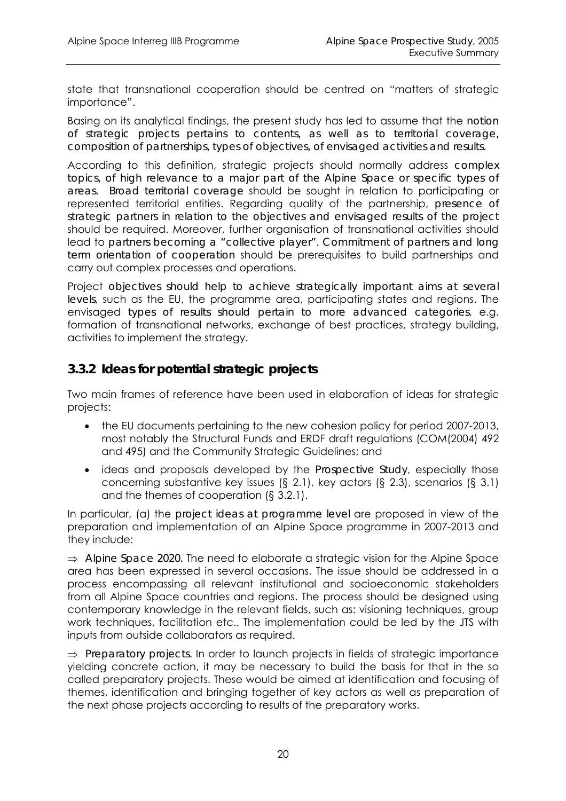state that transnational cooperation should be centred on "matters of strategic importance".

Basing on its analytical findings, the present study has led to assume that the *notion of strategic projects pertains to contents, as well as to territorial coverage, composition of partnerships, types of objectives, of envisaged activities and results*.

According to this definition, strategic projects should normally address *complex*  topics, of high relevance to a major part of the Alpine Space or specific types of *areas*. *Broad territorial coverage* should be sought in relation to participating or represented territorial entities. Regarding quality of the partnership, *presence of strategic partners in relation to the objectives and envisaged results of the project* should be required. Moreover, further organisation of transnational activities should lead to *partners becoming a "collective player"*. *Commitment of partners and long term orientation of cooperation* should be prerequisites to build partnerships and carry out complex processes and operations.

Project *objectives should help to achieve strategically important aims at several levels*, such as the EU, the programme area, participating states and regions. The envisaged *types of results should pertain to more advanced categories*, e.g. formation of transnational networks, exchange of best practices, strategy building, activities to implement the strategy.

#### *3.3.2 Ideas for potential strategic projects*

Two main frames of reference have been used in elaboration of ideas for strategic projects:

- the EU documents pertaining to the new cohesion policy for period 2007-2013, most notably the Structural Funds and ERDF draft regulations (COM(2004) 492 and 495) and the Community Strategic Guidelines; and
- ideas and proposals developed by the *Prospective Study*, especially those concerning substantive key issues (§ 2.1), key actors (§ 2.3), scenarios (§ 3.1) and the themes of cooperation (§ 3.2.1).

In particular, (a) the *project ideas at programme level* are proposed in view of the preparation and implementation of an Alpine Space programme in 2007-2013 and they include:

⇒ *Alpine Space 2020.* The need to elaborate a strategic vision for the Alpine Space area has been expressed in several occasions. The issue should be addressed in a process encompassing all relevant institutional and socioeconomic stakeholders from all Alpine Space countries and regions. The process should be designed using contemporary knowledge in the relevant fields, such as: visioning techniques, group work techniques, facilitation etc.. The implementation could be led by the JTS with inputs from outside collaborators as required.

⇒ *Preparatory projects.* In order to launch projects in fields of strategic importance yielding concrete action, it may be necessary to build the basis for that in the so called preparatory projects. These would be aimed at identification and focusing of themes, identification and bringing together of key actors as well as preparation of the next phase projects according to results of the preparatory works.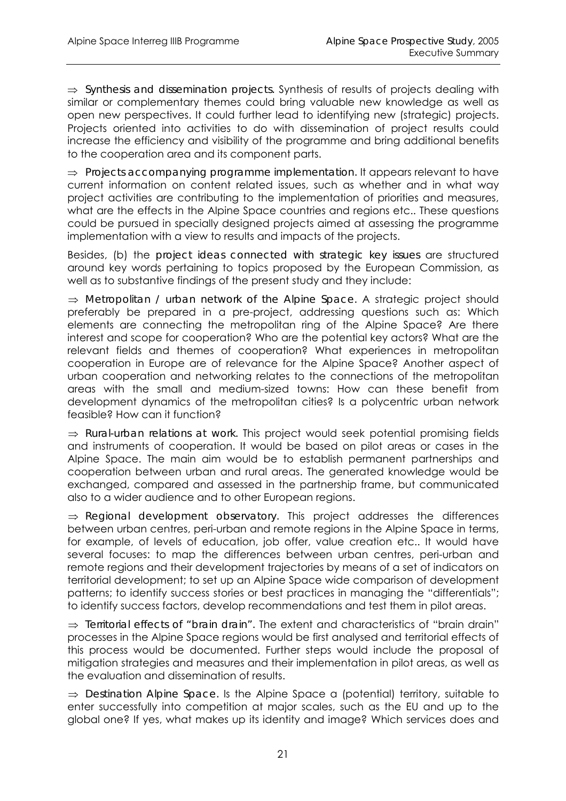⇒ *Synthesis and dissemination projects.* Synthesis of results of projects dealing with similar or complementary themes could bring valuable new knowledge as well as open new perspectives. It could further lead to identifying new (strategic) projects. Projects oriented into activities to do with dissemination of project results could increase the efficiency and visibility of the programme and bring additional benefits to the cooperation area and its component parts.

⇒ *Projects accompanying programme implementation.* It appears relevant to have current information on content related issues, such as whether and in what way project activities are contributing to the implementation of priorities and measures, what are the effects in the Alpine Space countries and regions etc.. These questions could be pursued in specially designed projects aimed at assessing the programme implementation with a view to results and impacts of the projects.

Besides, (b) the *project ideas connected with strategic key issues* are structured around key words pertaining to topics proposed by the European Commission, as well as to substantive findings of the present study and they include:

⇒ *Metropolitan / urban network of the Alpine Space.* A strategic project should preferably be prepared in a pre-project, addressing questions such as: Which elements are connecting the metropolitan ring of the Alpine Space? Are there interest and scope for cooperation? Who are the potential key actors? What are the relevant fields and themes of cooperation? What experiences in metropolitan cooperation in Europe are of relevance for the Alpine Space? Another aspect of urban cooperation and networking relates to the connections of the metropolitan areas with the small and medium-sized towns: How can these benefit from development dynamics of the metropolitan cities? Is a polycentric urban network feasible? How can it function?

⇒ *Rural-urban relations at work.* This project would seek potential promising fields and instruments of cooperation. It would be based on pilot areas or cases in the Alpine Space. The main aim would be to establish permanent partnerships and cooperation between urban and rural areas. The generated knowledge would be exchanged, compared and assessed in the partnership frame, but communicated also to a wider audience and to other European regions.

⇒ *Regional development observatory.* This project addresses the differences between urban centres, peri-urban and remote regions in the Alpine Space in terms, for example, of levels of education, job offer, value creation etc.. It would have several focuses: to map the differences between urban centres, peri-urban and remote regions and their development trajectories by means of a set of indicators on territorial development; to set up an Alpine Space wide comparison of development patterns; to identify success stories or best practices in managing the "differentials"; to identify success factors, develop recommendations and test them in pilot areas.

⇒ *Territorial effects of "brain drain".* The extent and characteristics of "brain drain" processes in the Alpine Space regions would be first analysed and territorial effects of this process would be documented. Further steps would include the proposal of mitigation strategies and measures and their implementation in pilot areas, as well as the evaluation and dissemination of results.

⇒ *Destination Alpine Space.* Is the Alpine Space a (potential) territory, suitable to enter successfully into competition at major scales, such as the EU and up to the global one? If yes, what makes up its identity and image? Which services does and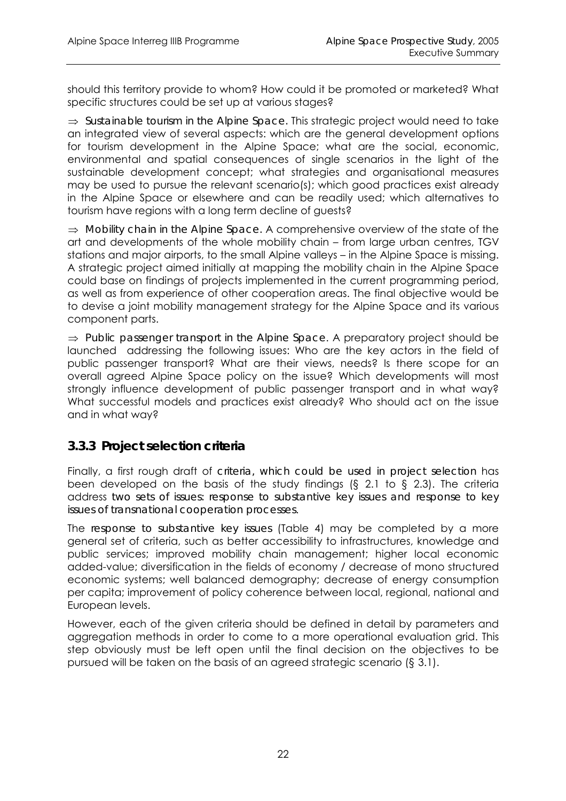should this territory provide to whom? How could it be promoted or marketed? What specific structures could be set up at various stages?

⇒ *Sustainable tourism in the Alpine Space.* This strategic project would need to take an integrated view of several aspects: which are the general development options for tourism development in the Alpine Space; what are the social, economic, environmental and spatial consequences of single scenarios in the light of the sustainable development concept; what strategies and organisational measures may be used to pursue the relevant scenario(s); which good practices exist already in the Alpine Space or elsewhere and can be readily used; which alternatives to tourism have regions with a long term decline of guests?

⇒ *Mobility chain in the Alpine Space.* A comprehensive overview of the state of the art and developments of the whole mobility chain – from large urban centres, TGV stations and major airports, to the small Alpine valleys – in the Alpine Space is missing. A strategic project aimed initially at mapping the mobility chain in the Alpine Space could base on findings of projects implemented in the current programming period, as well as from experience of other cooperation areas. The final objective would be to devise a joint mobility management strategy for the Alpine Space and its various component parts.

⇒ *Public passenger transport in the Alpine Space*. A preparatory project should be launched addressing the following issues: Who are the key actors in the field of public passenger transport? What are their views, needs? Is there scope for an overall agreed Alpine Space policy on the issue? Which developments will most strongly influence development of public passenger transport and in what way? What successful models and practices exist already? Who should act on the issue and in what way?

#### *3.3.3 Project selection criteria*

Finally, a first rough draft of *criteria, which could be used in project selection* has been developed on the basis of the study findings (§ 2.1 to § 2.3). The criteria address *two sets of issues: response to substantive key issues and response to key issues of transnational cooperation processes*.

The *response to substantive key issues* (Table 4) may be completed by a more general set of criteria, such as better accessibility to infrastructures, knowledge and public services; improved mobility chain management; higher local economic added-value; diversification in the fields of economy / decrease of mono structured economic systems; well balanced demography; decrease of energy consumption per capita; improvement of policy coherence between local, regional, national and European levels.

However, each of the given criteria should be defined in detail by parameters and aggregation methods in order to come to a more operational evaluation grid. This step obviously must be left open until the final decision on the objectives to be pursued will be taken on the basis of an agreed strategic scenario (§ 3.1).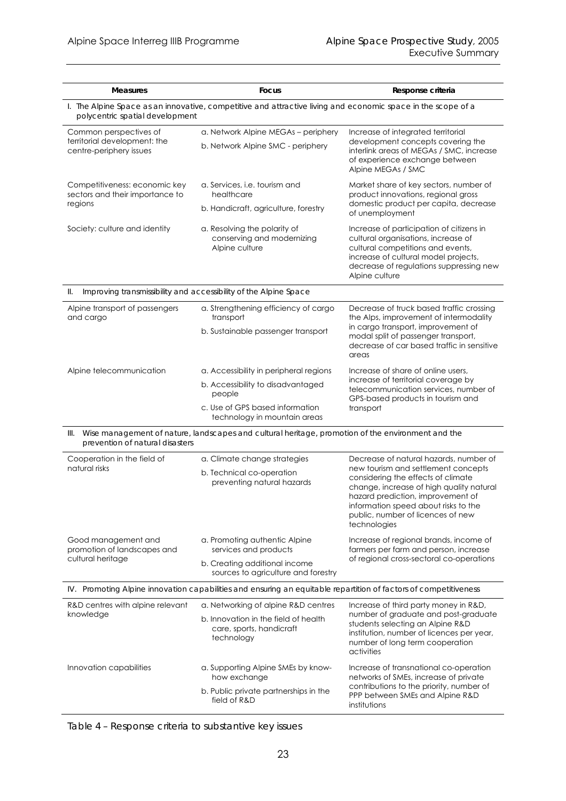| <b>Measures</b>                                                                                                                                 | Focus                                                                                                            | Response criteria                                                                                                                                                                                                         |  |  |  |  |
|-------------------------------------------------------------------------------------------------------------------------------------------------|------------------------------------------------------------------------------------------------------------------|---------------------------------------------------------------------------------------------------------------------------------------------------------------------------------------------------------------------------|--|--|--|--|
| I. The Alpine Space as an innovative, competitive and attractive living and economic space in the scope of a<br>polycentric spatial development |                                                                                                                  |                                                                                                                                                                                                                           |  |  |  |  |
| Common perspectives of                                                                                                                          | a. Network Alpine MEGAs - periphery                                                                              | Increase of integrated territorial                                                                                                                                                                                        |  |  |  |  |
| territorial development: the<br>centre-periphery issues                                                                                         | b. Network Alpine SMC - periphery                                                                                | development concepts covering the<br>interlink areas of MEGAs / SMC, increase<br>of experience exchange between<br>Alpine MEGAs / SMC                                                                                     |  |  |  |  |
| Competitiveness: economic key<br>sectors and their importance to                                                                                | a. Services, i.e. tourism and<br>healthcare                                                                      | Market share of key sectors, number of<br>product innovations, regional gross                                                                                                                                             |  |  |  |  |
| regions                                                                                                                                         | b. Handicraft, agriculture, forestry                                                                             | domestic product per capita, decrease<br>of unemployment                                                                                                                                                                  |  |  |  |  |
| Society: culture and identity                                                                                                                   | a. Resolving the polarity of<br>conserving and modernizing<br>Alpine culture                                     | Increase of participation of citizens in<br>cultural organisations, increase of<br>cultural competitions and events,<br>increase of cultural model projects,<br>decrease of regulations suppressing new<br>Alpine culture |  |  |  |  |
| 11.                                                                                                                                             | Improving transmissibility and accessibility of the Alpine Space                                                 |                                                                                                                                                                                                                           |  |  |  |  |
| Alpine transport of passengers<br>and cargo                                                                                                     | a. Strengthening efficiency of cargo<br>transport                                                                | Decrease of truck based traffic crossing<br>the Alps, improvement of intermodality                                                                                                                                        |  |  |  |  |
|                                                                                                                                                 | b. Sustainable passenger transport                                                                               | in cargo transport, improvement of<br>modal split of passenger transport,<br>decrease of car based traffic in sensitive<br>areas                                                                                          |  |  |  |  |
| Alpine telecommunication                                                                                                                        | a. Accessibility in peripheral regions                                                                           | Increase of share of online users,                                                                                                                                                                                        |  |  |  |  |
|                                                                                                                                                 | b. Accessibility to disadvantaged<br>people                                                                      | increase of territorial coverage by<br>telecommunication services, number of<br>GPS-based products in tourism and                                                                                                         |  |  |  |  |
|                                                                                                                                                 | c. Use of GPS based information<br>technology in mountain areas                                                  | transport                                                                                                                                                                                                                 |  |  |  |  |
| III.<br>prevention of natural disasters                                                                                                         | Wise management of nature, landscapes and cultural heritage, promotion of the environment and the                |                                                                                                                                                                                                                           |  |  |  |  |
| Cooperation in the field of<br>natural risks                                                                                                    | a. Climate change strategies                                                                                     | Decrease of natural hazards, number of<br>new tourism and settlement concepts                                                                                                                                             |  |  |  |  |
|                                                                                                                                                 | b. Technical co-operation<br>preventing natural hazards                                                          | considering the effects of climate<br>change, increase of high quality natural<br>hazard prediction, improvement of<br>information speed about risks to the<br>public, number of licences of new<br>technologies          |  |  |  |  |
| Good management and<br>promotion of landscapes and                                                                                              | a. Promoting authentic Alpine<br>services and products                                                           | Increase of regional brands, income of<br>farmers per farm and person, increase<br>of regional cross-sectoral co-operations                                                                                               |  |  |  |  |
| cultural heritage                                                                                                                               | b. Creating additional income<br>sources to agriculture and forestry                                             |                                                                                                                                                                                                                           |  |  |  |  |
|                                                                                                                                                 | IV. Promoting Alpine innovation capabilities and ensuring an equitable repartition of factors of competitiveness |                                                                                                                                                                                                                           |  |  |  |  |
| R&D centres with alpine relevant                                                                                                                | a. Networking of alpine R&D centres                                                                              | Increase of third party money in R&D,                                                                                                                                                                                     |  |  |  |  |
| knowledge                                                                                                                                       | b. Innovation in the field of health<br>care, sports, handicraft<br>technology                                   | number of graduate and post-graduate<br>students selecting an Alpine R&D<br>institution, number of licences per year,<br>number of long term cooperation<br>activities                                                    |  |  |  |  |
| Innovation capabilities                                                                                                                         | a. Supporting Alpine SMEs by know-<br>how exchange                                                               | Increase of transnational co-operation<br>networks of SMEs, increase of private                                                                                                                                           |  |  |  |  |
|                                                                                                                                                 | b. Public private partnerships in the<br>field of R&D                                                            | contributions to the priority, number of<br>PPP between SMEs and Alpine R&D<br>institutions                                                                                                                               |  |  |  |  |

*Table 4 – Response criteria to substantive key issues*